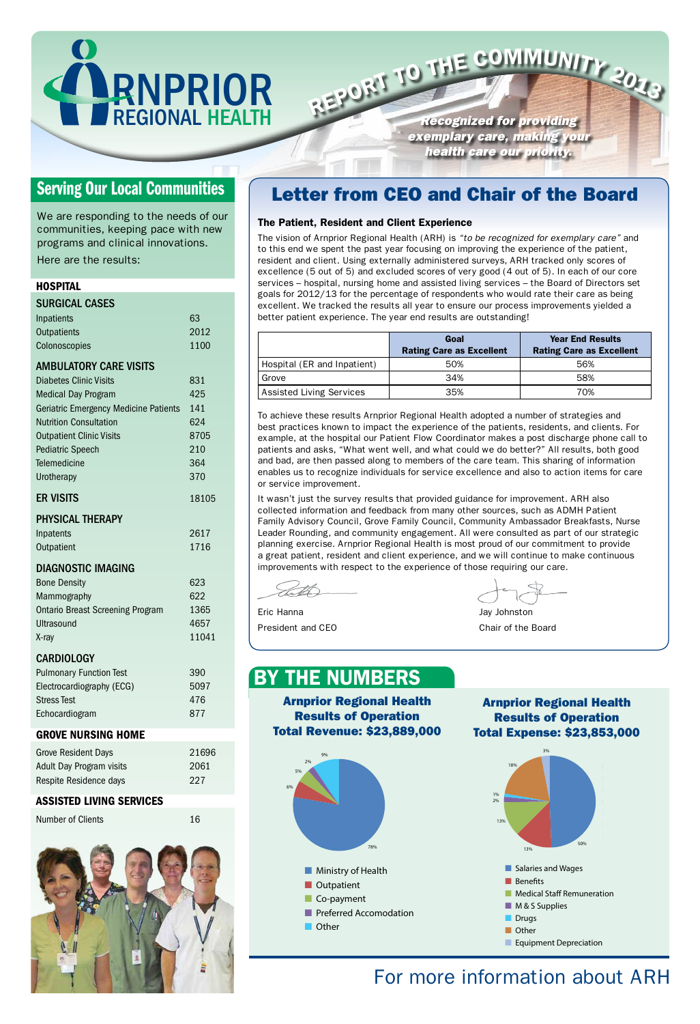RNPRIOR

REGIONAL HEALTH

9%

2%

- Ministry of Health
- Outpatient
- Co-payment
	- Preferred Accomodation



13%

#### $\bf r$  more inf For more information about ARH

■ Ministry of Health

**Results of Operation** 5% Total Revenue: \$23,889,000

**Results of Operation** Total Expense: \$23,853,000 Arnprior Regional Health

*Recognized for providing exemplary care, making your health care our priority.* REPORT TO THE COMMUNITY 2013



13%

Other

#### 9% Arnprior Regional Health By the Numbers

#### The Patient, Resident and Client Experience

the  $B$ Eric Hanna Jay Johnston

The vision of Arnprior Regional Health (ARH) is *"to be recognized for exemplary care"* and to this end we spent the past year focusing on improving the experience of the patient, resident and client. Using externally administered surveys, ARH tracked only scores of excellence (5 out of 5) and excluded scores of very good (4 out of 5). In each of our core services – hospital, nursing home and assisted living services – the Board of Directors set goals for 2012/13 for the percentage of respondents who would rate their care as being excellent. We tracked the results all year to ensure our process improvements yielded a better patient experience. The year end results are outstanding!

|                             | Goal<br><b>Rating Care as Excellent</b> | <b>Year End Results</b><br><b>Rating Care as Excellent</b> |
|-----------------------------|-----------------------------------------|------------------------------------------------------------|
| Hospital (ER and Inpatient) | 50%                                     | 56%                                                        |
| Grove                       | 34%                                     | 58%                                                        |
| Assisted Living Services    | 35%                                     | 70%                                                        |



To achieve these results Arnprior Regional Health adopted a number of strategies and best practices known to impact the experience of the patients, residents, and clients. For example, at the hospital our Patient Flow Coordinator makes a post discharge phone call to patients and asks, "What went well, and what could we do better?" All results, both good and bad, are then passed along to members of the care team. This sharing of information enables us to recognize individuals for service excellence and also to action items for care or service improvement.

It wasn't just the survey results that provided guidance for improvement. ARH also collected information and feedback from many other sources, such as ADMH Patient Family Advisory Council, Grove Family Council, Community Ambassador Breakfasts, Nurse Leader Rounding, and community engagement. All were consulted as part of our strategic planning exercise. Arnprior Regional Health is most proud of our commitment to provide a great patient, resident and client experience, and we will continue to make continuous improvements with respect to the experience of those requiring our care.

President and CEO

We are responding to the needs of our communities, keeping pace with new programs and clinical innovations.

Here are the results:

#### **HOSPITAL**

| <b>SURGICAL CASES</b>                   |        |
|-----------------------------------------|--------|
| Inpatients                              | 63     |
| Outpatients                             | 2012   |
| Colonoscopies                           | 1100   |
| <b>AMBULATORY CARE VISITS</b>           |        |
| <b>Diabetes Clinic Visits</b>           | 831    |
| <b>Medical Day Program</b>              | 425    |
| Geriatric Emergency Medicine Patients   | 141    |
| <b>Nutrition Consultation</b>           | 624    |
| <b>Outpatient Clinic Visits</b>         | 8705   |
| <b>Pediatric Speech</b>                 | 210    |
| Telemedicine                            | 364    |
| Urotherapy                              | 370    |
| <b>ER VISITS</b>                        | 18105  |
| <b>PHYSICAL THERAPY</b>                 |        |
| Inpatents                               | 2617   |
| Outpatient                              | 1716   |
| <b>DIAGNOSTIC IMAGING</b>               |        |
| <b>Bone Density</b>                     | 623    |
| Mammography                             | 622    |
| <b>Ontario Breast Screening Program</b> | 1365   |
| Ultrasound                              | 4657   |
| X-ray                                   | 11041  |
| <b>CARDIOLOGY</b>                       |        |
| <b>Pulmonary Function Test</b>          | 390    |
| Electrocardiography (ECG)               | 5097   |
| <b>Stress Test</b>                      | 476    |
| Echocardiogram                          | 877    |
| <b>GROVE NURSING HOME</b>               |        |
| aaidan+ D                               | 1 20 2 |

#### Grove Resident Days 21696 Adult Day Program visits 2061

### Serving Our Local Communities **Letter from CEO and Chair of the Board**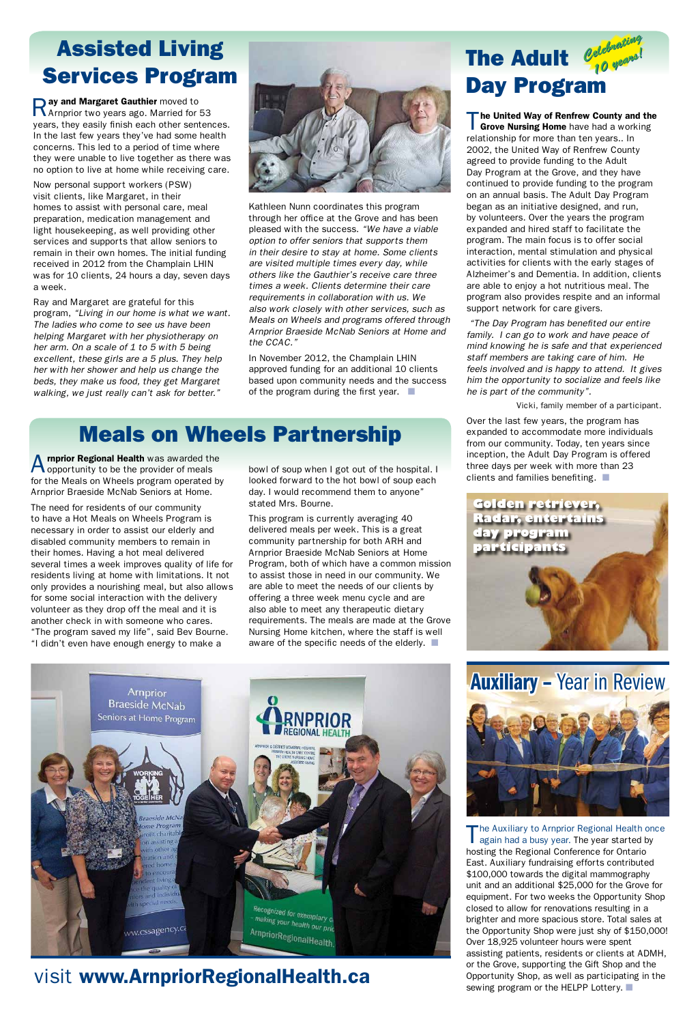The United Way of Renfrew County and the Grove Nursing Home have had a working relationship for more than ten years.. In 2002, the United Way of Renfrew County agreed to provide funding to the Adult Day Program at the Grove, and they have continued to provide funding to the program on an annual basis. The Adult Day Program began as an initiative designed, and run, by volunteers. Over the years the program expanded and hired staff to facilitate the program. The main focus is to offer social interaction, mental stimulation and physical activities for clients with the early stages of Alzheimer's and Dementia. In addition, clients are able to enjoy a hot nutritious meal. The program also provides respite and an informal support network for care givers.

Over the last few years, the program has expanded to accommodate more individuals from our community. Today, ten years since inception, the Adult Day Program is offered three days per week with more than 23 clients and families benefiting.  $\blacksquare$ 

#### *Celebrating 10 years! Celebrating*  The Adult  $\frac{\mathscr{O}^{\text{geometric}}_{q_0}}{\sqrt{q}^{\text{geometric}}}$ Day Program

 *"The Day Program has benefited our entire family. I can go to work and have peace of mind knowing he is safe and that experienced staff members are taking care of him. He feels involved and is happy to attend. It gives him the opportunity to socialize and feels like he is part of the community".* 

Vicki, family member of a participant.



Ray and Margaret Gauthier moved to Arnprior two years ago. Married for 53 years, they easily finish each other sentences. In the last few years they've had some health concerns. This led to a period of time where they were unable to live together as there was no option to live at home while receiving care.

> In November 2012, the Champlain LHIN approved funding for an additional 10 clients based upon community needs and the success of the program during the first year.  $\blacksquare$

Now personal support workers (PSW) visit clients, like Margaret, in their homes to assist with personal care, meal preparation, medication management and light housekeeping, as well providing other services and supports that allow seniors to remain in their own homes. The initial funding received in 2012 from the Champlain LHIN was for 10 clients, 24 hours a day, seven days a week.

A **rnprior Regional Health** was awarded the opportunity to be the provider of meals for the Meals on Wheels program operated by Arnprior Braeside McNab Seniors at Home.

Ray and Margaret are grateful for this program, *"Living in our home is what we want. The ladies who come to see us have been helping Margaret with her physiotherapy on her arm. On a scale of 1 to 5 with 5 being excellent, these girls are a 5 plus. They help her with her shower and help us change the beds, they make us food, they get Margaret walking, we just really can't ask for better."*



This program is currently averaging 40 delivered meals per week. This is a great community partnership for both ARH and Arnprior Braeside McNab Seniors at Home Program, both of which have a common mission to assist those in need in our community. We are able to meet the needs of our clients by offering a three week menu cycle and are also able to meet any therapeutic dietary requirements. The meals are made at the Grove Nursing Home kitchen, where the staff is well aware of the specific needs of the elderly.  $\blacksquare$ 

Kathleen Nunn coordinates this program through her office at the Grove and has been pleased with the success. *"We have a viable option to offer seniors that supports them in their desire to stay at home. Some clients are visited multiple times every day, while others like the Gauthier's receive care three times a week. Clients determine their care requirements in collaboration with us. We also work closely with other services, such as Meals on Wheels and programs offered through Arnprior Braeside McNab Seniors at Home and the CCAC."*

### Assisted Living Services Program

Auxiliary – Year in Review



### visit www.ArnpriorRegionalHealth.ca



The Auxiliary to Arnprior Regional Health once again had a busy year. The year started by hosting the Regional Conference for Ontario East. Auxiliary fundraising efforts contributed \$100,000 towards the digital mammography unit and an additional \$25,000 for the Grove for equipment. For two weeks the Opportunity Shop closed to allow for renovations resulting in a brighter and more spacious store. Total sales at the Opportunity Shop were just shy of \$150,000! Over 18,925 volunteer hours were spent assisting patients, residents or clients at ADMH, or the Grove, supporting the Gift Shop and the Opportunity Shop, as well as participating in the sewing program or the HELPP Lottery.  $\blacksquare$ 

The need for residents of our community to have a Hot Meals on Wheels Program is necessary in order to assist our elderly and disabled community members to remain in their homes. Having a hot meal delivered several times a week improves quality of life for residents living at home with limitations. It not only provides a nourishing meal, but also allows for some social interaction with the delivery volunteer as they drop off the meal and it is another check in with someone who cares. "The program saved my life", said Bev Bourne. "I didn't even have enough energy to make a

bowl of soup when I got out of the hospital. I looked forward to the hot bowl of soup each day. I would recommend them to anyone" stated Mrs. Bourne.

### Meals on Wheels Partnership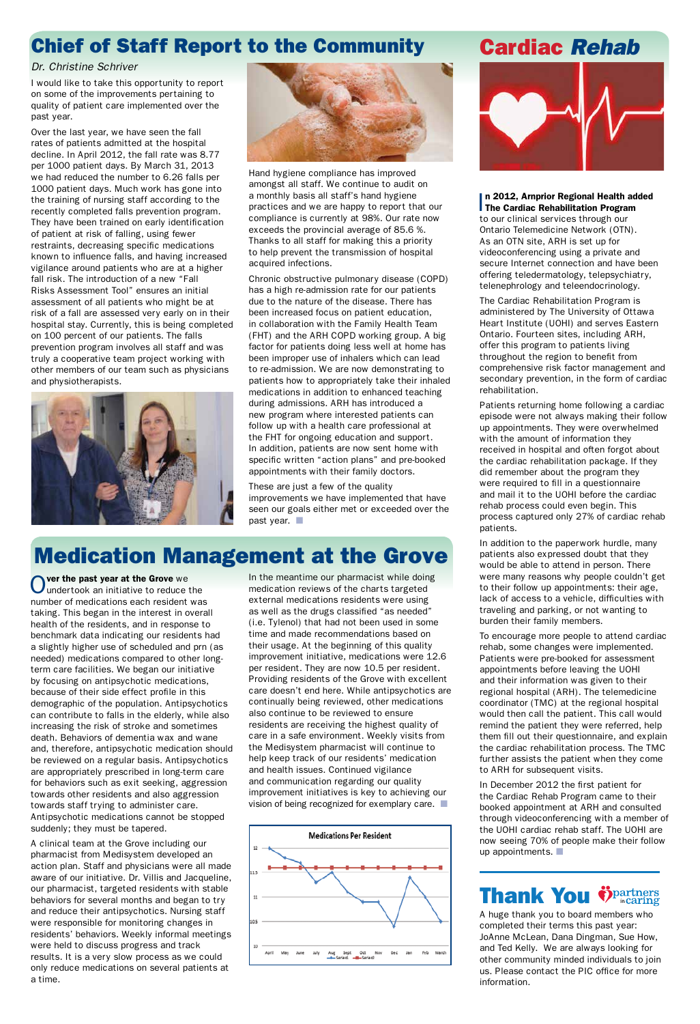### Cardiac *Rehab*



#### **n 2012, Amprior Regional Health and The Cardiac Rehabilitation Program** n 2012, Arnprior Regional Health added

to our clinical services through our Ontario Telemedicine Network (OTN). As an OTN site, ARH is set up for videoconferencing using a private and secure Internet connection and have been offering teledermatology, telepsychiatry, telenephrology and teleendocrinology.

The Cardiac Rehabilitation Program is administered by The University of Ottawa Heart Institute (UOHI) and serves Eastern Ontario. Fourteen sites, including ARH, offer this program to patients living throughout the region to benefit from comprehensive risk factor management and secondary prevention, in the form of cardiac rehabilitation.

Patients returning home following a cardiac episode were not always making their follow up appointments. They were overwhelmed with the amount of information they received in hospital and often forgot about the cardiac rehabilitation package. If they did remember about the program they were required to fill in a questionnaire and mail it to the UOHI before the cardiac rehab process could even begin. This process captured only 27% of cardiac rehab patients.

In December 2012 the first patient for the Cardiac Rehab Program came to their booked appointment at ARH and consulted through videoconferencing with a member of the UOHI cardiac rehab staff. The UOHI are now seeing 70% of people make their follow up appointments.  $\blacksquare$ 

### **Thank You Ö**partners

In addition to the paperwork hurdle, many patients also expressed doubt that they would be able to attend in person. There were many reasons why people couldn't get to their follow up appointments: their age, lack of access to a vehicle, difficulties with traveling and parking, or not wanting to burden their family members.

To encourage more people to attend cardiac rehab, some changes were implemented. Patients were pre-booked for assessment appointments before leaving the UOHI and their information was given to their regional hospital (ARH). The telemedicine coordinator (TMC) at the regional hospital would then call the patient. This call would remind the patient they were referred, help them fill out their questionnaire, and explain the cardiac rehabilitation process. The TMC further assists the patient when they come to ARH for subsequent visits.



A huge thank you to board members who completed their terms this past year: JoAnne McLean, Dana Dingman, Sue How, and Ted Kelly. We are always looking for other community minded individuals to join us. Please contact the PIC office for more information.

These are just a few of the quality improvements we have implemented that have seen our goals either met or exceeded over the past year.  $\Box$ 

#### *Dr. Christine Schriver*

I would like to take this opportunity to report on some of the improvements pertaining to quality of patient care implemented over the past year.

Over the last year, we have seen the fall rates of patients admitted at the hospital decline. In April 2012, the fall rate was 8.77 per 1000 patient days. By March 31, 2013 we had reduced the number to 6.26 falls per 1000 patient days. Much work has gone into the training of nursing staff according to the recently completed falls prevention program. They have been trained on early identification of patient at risk of falling, using fewer restraints, decreasing specific medications known to influence falls, and having increased vigilance around patients who are at a higher fall risk. The introduction of a new "Fall Risks Assessment Tool" ensures an initial assessment of all patients who might be at risk of a fall are assessed very early on in their hospital stay. Currently, this is being completed on 100 percent of our patients. The falls prevention program involves all staff and was truly a cooperative team project working with other members of our team such as physicians and physiotherapists.





Over the past year at the Grove we<br>Oundertook an initiative to reduce the number of medications each resident was taking. This began in the interest in overall health of the residents, and in response to benchmark data indicating our residents had a slightly higher use of scheduled and prn (as needed) medications compared to other longterm care facilities. We began our initiative by focusing on antipsychotic medications, because of their side effect profile in this demographic of the population. Antipsychotics can contribute to falls in the elderly, while also increasing the risk of stroke and sometimes death. Behaviors of dementia wax and wane and, therefore, antipsychotic medication should be reviewed on a regular basis. Antipsychotics are appropriately prescribed in long-term care for behaviors such as exit seeking, aggression towards other residents and also aggression towards staff trying to administer care. Antipsychotic medications cannot be stopped suddenly; they must be tapered. A clinical team at the Grove including our pharmacist from Medisystem developed an action plan. Staff and physicians were all made aware of our initiative. Dr. Villis and Jacqueline, our pharmacist, targeted residents with stable behaviors for several months and began to try and reduce their antipsychotics. Nursing staff were responsible for monitoring changes in residents' behaviors. Weekly informal meetings were held to discuss progress and track results. It is a very slow process as we could only reduce medications on several patients at a time.

In the meantime our pharmacist while doing medication reviews of the charts targeted external medications residents were using as well as the drugs classified "as needed" (i.e. Tylenol) that had not been used in some time and made recommendations based on their usage. At the beginning of this quality improvement initiative, medications were 12.6 per resident. They are now 10.5 per resident. Providing residents of the Grove with excellent care doesn't end here. While antipsychotics are continually being reviewed, other medications also continue to be reviewed to ensure residents are receiving the highest quality of care in a safe environment. Weekly visits from the Medisystem pharmacist will continue to help keep track of our residents' medication and health issues. Continued vigilance and communication regarding our quality improvement initiatives is key to achieving our vision of being recognized for exemplary care.  $\blacksquare$ 

Hand hygiene compliance has improved amongst all staff. We continue to audit on a monthly basis all staff's hand hygiene practices and we are happy to report that our compliance is currently at 98%. Our rate now exceeds the provincial average of 85.6 %. Thanks to all staff for making this a priority to help prevent the transmission of hospital acquired infections.

Chronic obstructive pulmonary disease (COPD) has a high re-admission rate for our patients due to the nature of the disease. There has been increased focus on patient education, in collaboration with the Family Health Team (FHT) and the ARH COPD working group. A big factor for patients doing less well at home has been improper use of inhalers which can lead to re-admission. We are now demonstrating to patients how to appropriately take their inhaled medications in addition to enhanced teaching during admissions. ARH has introduced a new program where interested patients can follow up with a health care professional at the FHT for ongoing education and support. In addition, patients are now sent home with specific written "action plans" and pre-booked appointments with their family doctors.

### Chief of Staff Report to the Community

## Medication Management at the Grove